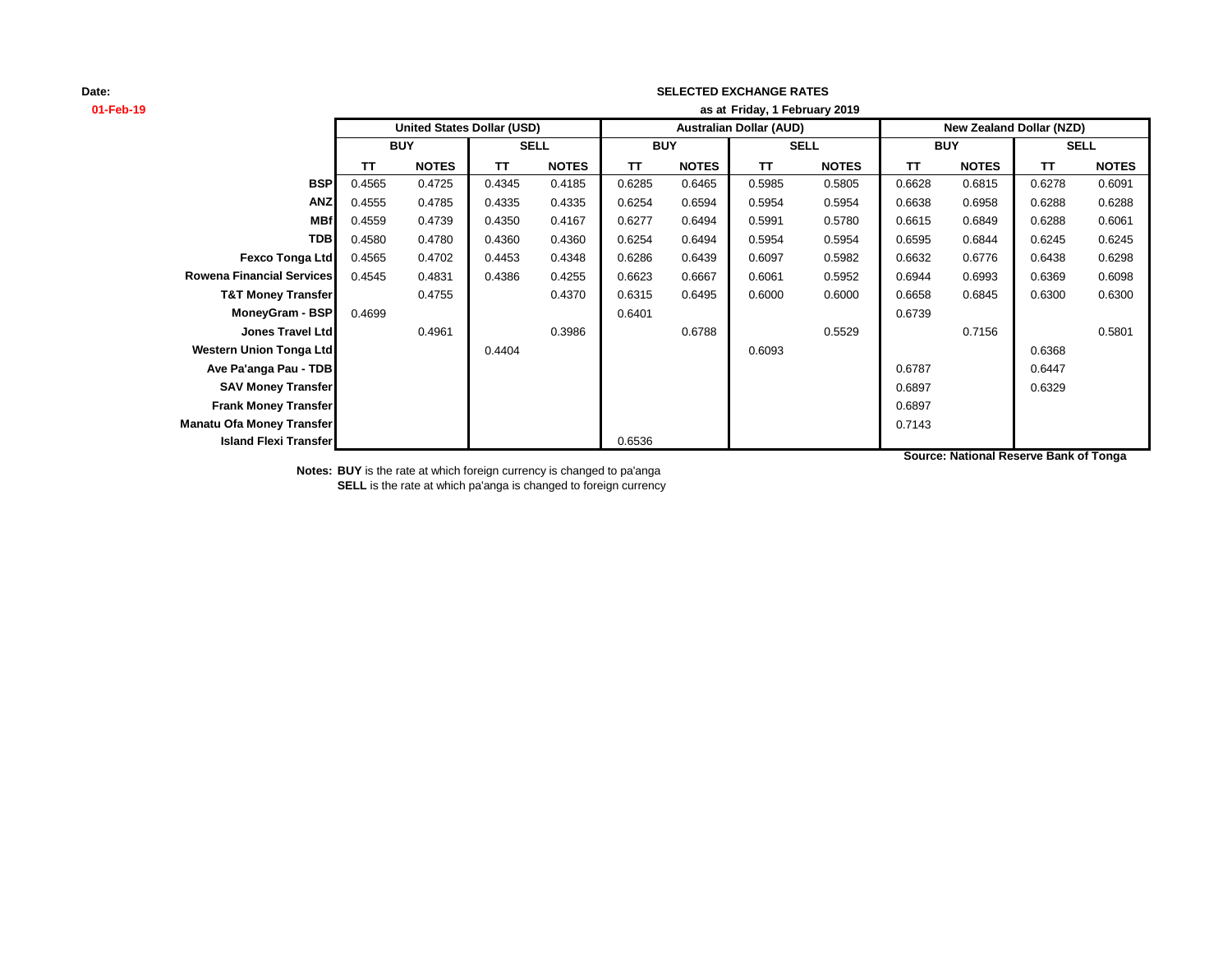## **SELECTED EXCHANGE RATES**

| 01-Feb-19                        | as at Friday, 1 February 2019 |                                   |             |              |            |              |                                |              |                          |              |             |              |
|----------------------------------|-------------------------------|-----------------------------------|-------------|--------------|------------|--------------|--------------------------------|--------------|--------------------------|--------------|-------------|--------------|
|                                  |                               | <b>United States Dollar (USD)</b> |             |              |            |              | <b>Australian Dollar (AUD)</b> |              | New Zealand Dollar (NZD) |              |             |              |
|                                  | <b>BUY</b>                    |                                   | <b>SELL</b> |              | <b>BUY</b> |              | <b>SELL</b>                    |              | <b>BUY</b>               |              | <b>SELL</b> |              |
|                                  | ΤT                            | <b>NOTES</b>                      | <b>TT</b>   | <b>NOTES</b> | ΤT         | <b>NOTES</b> | TΤ                             | <b>NOTES</b> | TΤ                       | <b>NOTES</b> | <b>TT</b>   | <b>NOTES</b> |
| <b>BSP</b>                       | 0.4565                        | 0.4725                            | 0.4345      | 0.4185       | 0.6285     | 0.6465       | 0.5985                         | 0.5805       | 0.6628                   | 0.6815       | 0.6278      | 0.6091       |
| <b>ANZ</b>                       | 0.4555                        | 0.4785                            | 0.4335      | 0.4335       | 0.6254     | 0.6594       | 0.5954                         | 0.5954       | 0.6638                   | 0.6958       | 0.6288      | 0.6288       |
| <b>MBf</b>                       | 0.4559                        | 0.4739                            | 0.4350      | 0.4167       | 0.6277     | 0.6494       | 0.5991                         | 0.5780       | 0.6615                   | 0.6849       | 0.6288      | 0.6061       |
| <b>TDB</b>                       | 0.4580                        | 0.4780                            | 0.4360      | 0.4360       | 0.6254     | 0.6494       | 0.5954                         | 0.5954       | 0.6595                   | 0.6844       | 0.6245      | 0.6245       |
| Fexco Tonga Ltd                  | 0.4565                        | 0.4702                            | 0.4453      | 0.4348       | 0.6286     | 0.6439       | 0.6097                         | 0.5982       | 0.6632                   | 0.6776       | 0.6438      | 0.6298       |
| <b>Rowena Financial Services</b> | 0.4545                        | 0.4831                            | 0.4386      | 0.4255       | 0.6623     | 0.6667       | 0.6061                         | 0.5952       | 0.6944                   | 0.6993       | 0.6369      | 0.6098       |
| <b>T&amp;T Money Transfer</b>    |                               | 0.4755                            |             | 0.4370       | 0.6315     | 0.6495       | 0.6000                         | 0.6000       | 0.6658                   | 0.6845       | 0.6300      | 0.6300       |
| MoneyGram - BSP                  | 0.4699                        |                                   |             |              | 0.6401     |              |                                |              | 0.6739                   |              |             |              |
| <b>Jones Travel Ltd</b>          |                               | 0.4961                            |             | 0.3986       |            | 0.6788       |                                | 0.5529       |                          | 0.7156       |             | 0.5801       |
| <b>Western Union Tonga Ltd</b>   |                               |                                   | 0.4404      |              |            |              | 0.6093                         |              |                          |              | 0.6368      |              |
| Ave Pa'anga Pau - TDB            |                               |                                   |             |              |            |              |                                |              | 0.6787                   |              | 0.6447      |              |
| <b>SAV Money Transfer</b>        |                               |                                   |             |              |            |              |                                |              | 0.6897                   |              | 0.6329      |              |
| <b>Frank Money Transfer</b>      |                               |                                   |             |              |            |              |                                |              | 0.6897                   |              |             |              |
| Manatu Ofa Money Transfer        |                               |                                   |             |              |            |              |                                |              | 0.7143                   |              |             |              |
| <b>Island Flexi Transfer</b>     |                               |                                   |             |              | 0.6536     |              |                                |              |                          |              |             |              |

**Notes: BUY** is the rate at which foreign currency is changed to pa'anga **SELL** is the rate at which pa'anga is changed to foreign currency **Source: National Reserve Bank of Tonga**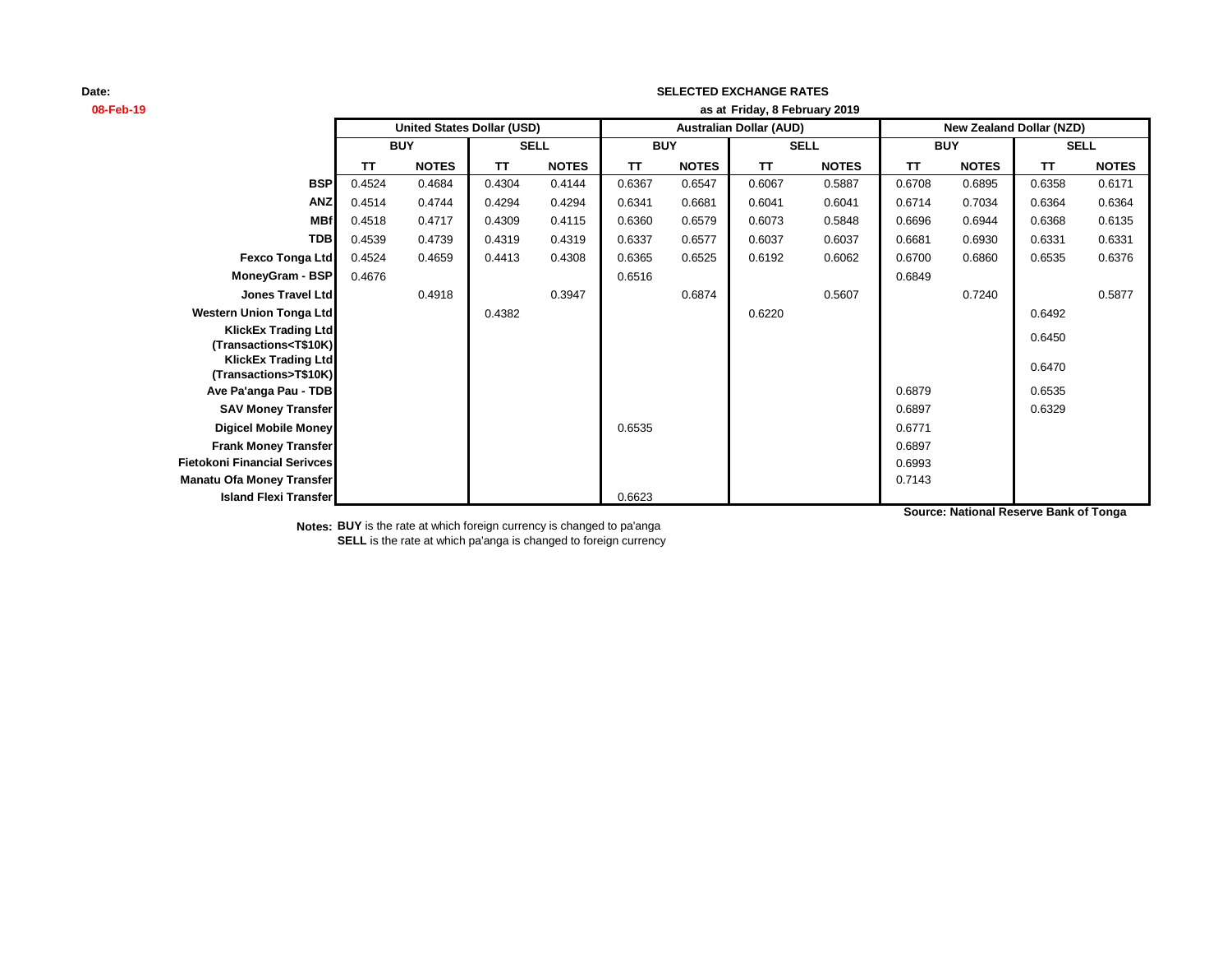## **SELECTED EXCHANGE RATES**

**08-Feb-19 as at TT NOTES TT NOTES TT NOTES TT NOTES TT NOTES TT NOTES BSP** 0.4524 0.4684 0.4304 0.4144 0.6367 0.6547 0.6067 0.5887 0.6708 0.6895 0.6358 0.6171 **ANZ** 0.4514 0.4744 0.4294 0.4294 0.6341 0.6681 0.6041 0.6041 0.6714 0.7034 0.6364 0.6364 **MBf** 0.4518 0.4717 0.4309 0.4115 0.6360 0.6579 0.6073 0.5848 0.6696 0.6944 0.6368 0.6135 **TDB** 0.4539 0.4739 0.4319 0.4319 0.6337 0.6577 0.6037 0.6037 0.6681 0.6930 0.6331 0.6331 **Fexco Tonga Ltd** 0.4524 0.4659 0.4413 0.4308 0.6365 0.6525 0.6192 0.6062 0.6700 0.6860 0.6535 0.6376 **MoneyGram - BSP** 0.4676 **0.6849** 0.6849 **Jones Travel Ltd** 0.4918 0.3947 0.6874 0.5607 0.7240 0.5877 **Western Union Tonga Ltd 1.6292 0.4382** 0.6492 0.6492 0.6492 **KlickEx Trading Ltd CONSIDER A RESERVE AND SERVE ASSESSED ASSESSED ASSOCIATES AND SERVE ASSOCIATES AND SERVE ASSOCIATES AND SERVE AND SERVE AND SERVE AND SERVE AND SERVE AND SERVE AND SERVE AND SERVE AND SERVE AND SERVE AND SERVE AND SERVE A KlickEx Trading Ltd (Transactions>T\$10K)** 0.6470 **Ave Pa'anga Pau - TDB** 0.6535 **SAV Money Transfer** 0.6897 0.6329 **Digicel Mobile Money** 0.6535 0.6771 **Frank Money Transfer** 0.6897 **Fietokoni Financial Serivces** 0.6993 **Manatu Ofa Money Transfer** 2.21143 **Island Flexi Transfer** 0.6623 **SELL United States Dollar (USD) Australian Dollar (AUD) New Zealand Dollar (NZD) BUY SELL BUY SELL BUY Friday, 8 February 2019**

**Source: National Reserve Bank of Tonga**

**Notes: BUY** is the rate at which foreign currency is changed to pa'anga **SELL** is the rate at which pa'anga is changed to foreign currency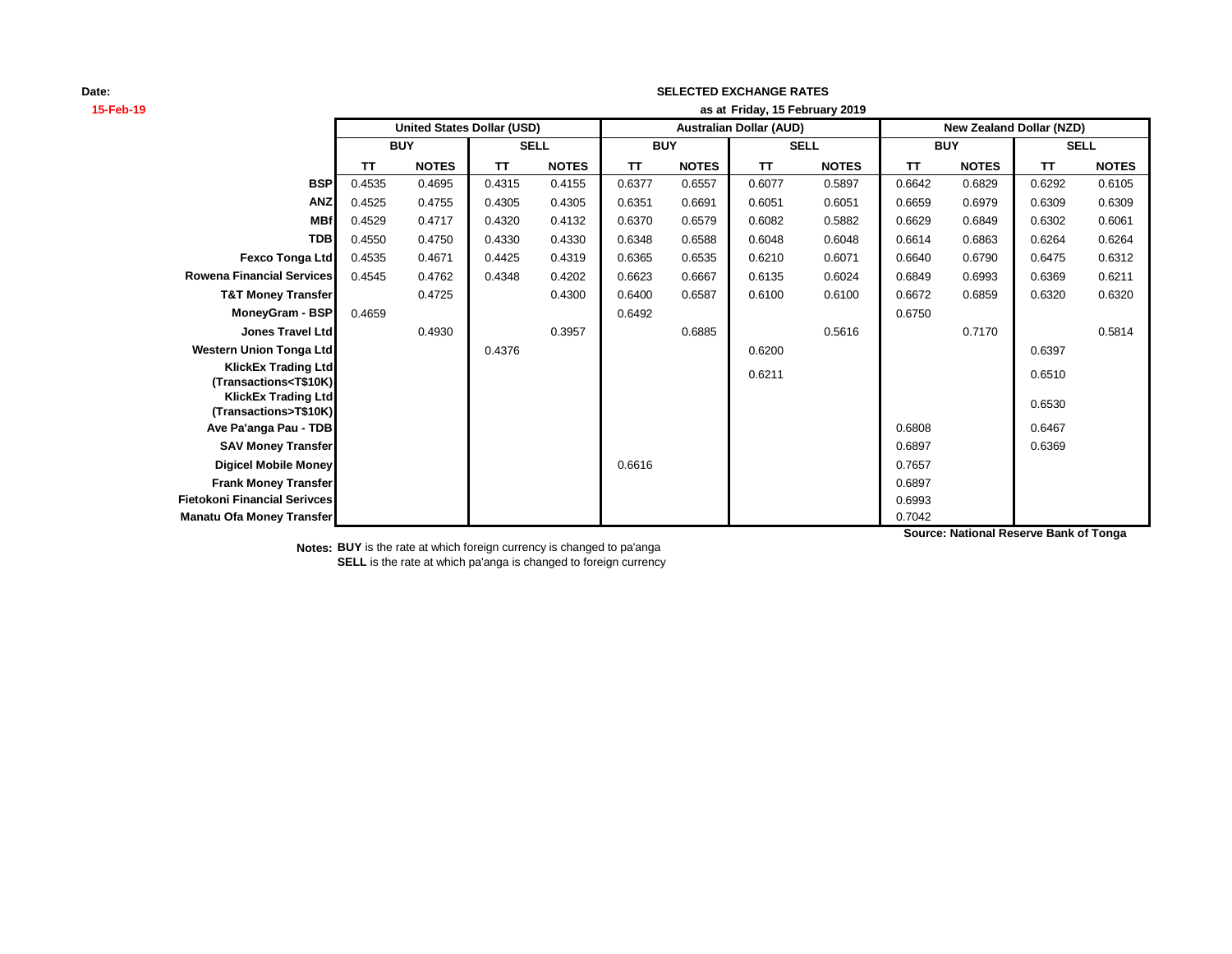## **SELECTED EXCHANGE RATES**

| 15-Feb-19                                                         | as at Friday, 15 February 2019 |                                   |             |              |                                |              |             |              |                                 |              |             |              |
|-------------------------------------------------------------------|--------------------------------|-----------------------------------|-------------|--------------|--------------------------------|--------------|-------------|--------------|---------------------------------|--------------|-------------|--------------|
|                                                                   |                                | <b>United States Dollar (USD)</b> |             |              | <b>Australian Dollar (AUD)</b> |              |             |              | <b>New Zealand Dollar (NZD)</b> |              |             |              |
|                                                                   | <b>BUY</b>                     |                                   | <b>SELL</b> |              | <b>BUY</b>                     |              | <b>SELL</b> |              | <b>BUY</b>                      |              | <b>SELL</b> |              |
|                                                                   | <b>TT</b>                      | <b>NOTES</b>                      | <b>TT</b>   | <b>NOTES</b> | <b>TT</b>                      | <b>NOTES</b> | <b>TT</b>   | <b>NOTES</b> | <b>TT</b>                       | <b>NOTES</b> | TT          | <b>NOTES</b> |
| <b>BSP</b>                                                        | 0.4535                         | 0.4695                            | 0.4315      | 0.4155       | 0.6377                         | 0.6557       | 0.6077      | 0.5897       | 0.6642                          | 0.6829       | 0.6292      | 0.6105       |
| <b>ANZ</b>                                                        | 0.4525                         | 0.4755                            | 0.4305      | 0.4305       | 0.6351                         | 0.6691       | 0.6051      | 0.6051       | 0.6659                          | 0.6979       | 0.6309      | 0.6309       |
| <b>MBf</b>                                                        | 0.4529                         | 0.4717                            | 0.4320      | 0.4132       | 0.6370                         | 0.6579       | 0.6082      | 0.5882       | 0.6629                          | 0.6849       | 0.6302      | 0.6061       |
| <b>TDB</b>                                                        | 0.4550                         | 0.4750                            | 0.4330      | 0.4330       | 0.6348                         | 0.6588       | 0.6048      | 0.6048       | 0.6614                          | 0.6863       | 0.6264      | 0.6264       |
| <b>Fexco Tonga Ltd</b>                                            | 0.4535                         | 0.4671                            | 0.4425      | 0.4319       | 0.6365                         | 0.6535       | 0.6210      | 0.6071       | 0.6640                          | 0.6790       | 0.6475      | 0.6312       |
| <b>Rowena Financial Services</b>                                  | 0.4545                         | 0.4762                            | 0.4348      | 0.4202       | 0.6623                         | 0.6667       | 0.6135      | 0.6024       | 0.6849                          | 0.6993       | 0.6369      | 0.6211       |
| <b>T&amp;T Money Transfer</b>                                     |                                | 0.4725                            |             | 0.4300       | 0.6400                         | 0.6587       | 0.6100      | 0.6100       | 0.6672                          | 0.6859       | 0.6320      | 0.6320       |
| MoneyGram - BSP                                                   | 0.4659                         |                                   |             |              | 0.6492                         |              |             |              | 0.6750                          |              |             |              |
| Jones Travel Ltd                                                  |                                | 0.4930                            |             | 0.3957       |                                | 0.6885       |             | 0.5616       |                                 | 0.7170       |             | 0.5814       |
| <b>Western Union Tonga Ltd</b>                                    |                                |                                   | 0.4376      |              |                                |              | 0.6200      |              |                                 |              | 0.6397      |              |
| <b>KlickEx Trading Ltd</b>                                        |                                |                                   |             |              |                                |              | 0.6211      |              |                                 |              | 0.6510      |              |
| (Transactions <t\$10k)<br><b>KlickEx Trading Ltd</b></t\$10k)<br> |                                |                                   |             |              |                                |              |             |              |                                 |              |             |              |
| (Transactions>T\$10K)                                             |                                |                                   |             |              |                                |              |             |              |                                 |              | 0.6530      |              |
| Ave Pa'anga Pau - TDB                                             |                                |                                   |             |              |                                |              |             |              | 0.6808                          |              | 0.6467      |              |
| <b>SAV Money Transfer</b>                                         |                                |                                   |             |              |                                |              |             |              | 0.6897                          |              | 0.6369      |              |
| <b>Digicel Mobile Money</b>                                       |                                |                                   |             |              | 0.6616                         |              |             |              | 0.7657                          |              |             |              |
| <b>Frank Money Transfer</b>                                       |                                |                                   |             |              |                                |              |             |              | 0.6897                          |              |             |              |
| <b>Fietokoni Financial Serivces</b>                               |                                |                                   |             |              |                                |              |             |              | 0.6993                          |              |             |              |
| <b>Manatu Ofa Money Transfer</b>                                  |                                |                                   |             |              |                                |              |             |              | 0.7042                          |              |             |              |

**Notes: BUY** is the rate at which foreign currency is changed to pa'anga **SELL** is the rate at which pa'anga is changed to foreign currency **Source: National Reserve Bank of Tonga**